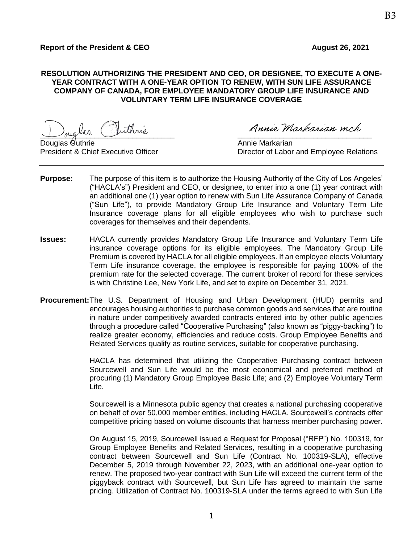## **RESOLUTION AUTHORIZING THE PRESIDENT AND CEO, OR DESIGNEE, TO EXECUTE A ONE-YEAR CONTRACT WITH A ONE-YEAR OPTION TO RENEW, WITH SUN LIFE ASSURANCE COMPANY OF CANADA, FOR EMPLOYEE MANDATORY GROUP LIFE INSURANCE AND VOLUNTARY TERM LIFE INSURANCE COVERAGE**

 $\frac{1}{\sqrt{2\pi}}$  as  $\frac{1}{\sqrt{2\pi}}$ 

Douglas Guthrie Annie Markarian (Annie Markarian Annie Markarian )

President & Chief Executive Officer **Director of Labor and Employee Relations** 

- **Purpose:** The purpose of this item is to authorize the Housing Authority of the City of Los Angeles' ("HACLA's") President and CEO, or designee, to enter into a one (1) year contract with an additional one (1) year option to renew with Sun Life Assurance Company of Canada ("Sun Life"), to provide Mandatory Group Life Insurance and Voluntary Term Life Insurance coverage plans for all eligible employees who wish to purchase such coverages for themselves and their dependents.
- **Issues:** HACLA currently provides Mandatory Group Life Insurance and Voluntary Term Life insurance coverage options for its eligible employees. The Mandatory Group Life Premium is covered by HACLA for all eligible employees. If an employee elects Voluntary Term Life insurance coverage, the employee is responsible for paying 100% of the premium rate for the selected coverage. The current broker of record for these services is with Christine Lee, New York Life, and set to expire on December 31, 2021.
- **Procurement:**The U.S. Department of Housing and Urban Development (HUD) permits and encourages housing authorities to purchase common goods and services that are routine in nature under competitively awarded contracts entered into by other public agencies through a procedure called "Cooperative Purchasing" (also known as "piggy-backing") to realize greater economy, efficiencies and reduce costs. Group Employee Benefits and Related Services qualify as routine services, suitable for cooperative purchasing.

HACLA has determined that utilizing the Cooperative Purchasing contract between Sourcewell and Sun Life would be the most economical and preferred method of procuring (1) Mandatory Group Employee Basic Life; and (2) Employee Voluntary Term Life.

Sourcewell is a Minnesota public agency that creates a national purchasing cooperative on behalf of over 50,000 member entities, including HACLA. Sourcewell's contracts offer competitive pricing based on volume discounts that harness member purchasing power.

On August 15, 2019, Sourcewell issued a Request for Proposal ("RFP") No. 100319, for Group Employee Benefits and Related Services, resulting in a cooperative purchasing contract between Sourcewell and Sun Life (Contract No. 100319-SLA), effective December 5, 2019 through November 22, 2023, with an additional one-year option to renew. The proposed two-year contract with Sun Life will exceed the current term of the piggyback contract with Sourcewell, but Sun Life has agreed to maintain the same pricing. Utilization of Contract No. 100319-SLA under the terms agreed to with Sun Life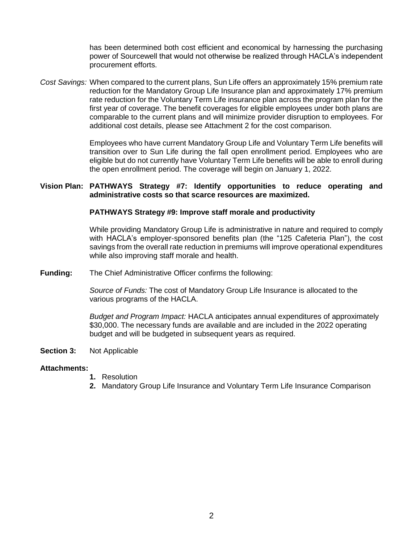has been determined both cost efficient and economical by harnessing the purchasing power of Sourcewell that would not otherwise be realized through HACLA's independent procurement efforts.

*Cost Savings:* When compared to the current plans, Sun Life offers an approximately 15% premium rate reduction for the Mandatory Group Life Insurance plan and approximately 17% premium rate reduction for the Voluntary Term Life insurance plan across the program plan for the first year of coverage. The benefit coverages for eligible employees under both plans are comparable to the current plans and will minimize provider disruption to employees. For additional cost details, please see Attachment 2 for the cost comparison.

> Employees who have current Mandatory Group Life and Voluntary Term Life benefits will transition over to Sun Life during the fall open enrollment period. Employees who are eligible but do not currently have Voluntary Term Life benefits will be able to enroll during the open enrollment period. The coverage will begin on January 1, 2022.

### **Vision Plan: PATHWAYS Strategy #7: Identify opportunities to reduce operating and administrative costs so that scarce resources are maximized.**

#### **PATHWAYS Strategy #9: Improve staff morale and productivity**

While providing Mandatory Group Life is administrative in nature and required to comply with HACLA's employer-sponsored benefits plan (the "125 Cafeteria Plan"), the cost savings from the overall rate reduction in premiums will improve operational expenditures while also improving staff morale and health.

**Funding:** The Chief Administrative Officer confirms the following:

*Source of Funds:* The cost of Mandatory Group Life Insurance is allocated to the various programs of the HACLA.

*Budget and Program Impact:* HACLA anticipates annual expenditures of approximately \$30,000. The necessary funds are available and are included in the 2022 operating budget and will be budgeted in subsequent years as required.

**Section 3:** Not Applicable

#### **Attachments:**

- **1.** Resolution
- **2.** Mandatory Group Life Insurance and Voluntary Term Life Insurance Comparison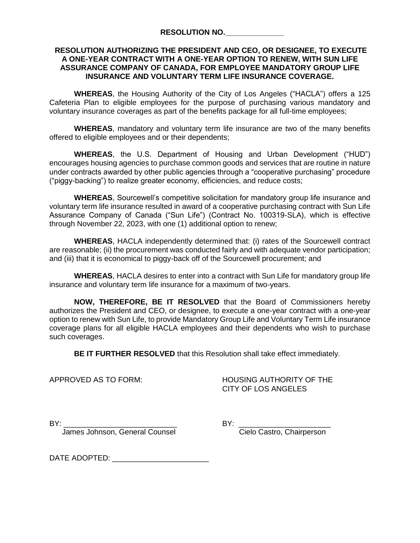### **RESOLUTION AUTHORIZING THE PRESIDENT AND CEO, OR DESIGNEE, TO EXECUTE A ONE-YEAR CONTRACT WITH A ONE-YEAR OPTION TO RENEW, WITH SUN LIFE ASSURANCE COMPANY OF CANADA, FOR EMPLOYEE MANDATORY GROUP LIFE INSURANCE AND VOLUNTARY TERM LIFE INSURANCE COVERAGE.**

**WHEREAS**, the Housing Authority of the City of Los Angeles ("HACLA") offers a 125 Cafeteria Plan to eligible employees for the purpose of purchasing various mandatory and voluntary insurance coverages as part of the benefits package for all full-time employees;

**WHEREAS**, mandatory and voluntary term life insurance are two of the many benefits offered to eligible employees and or their dependents;

**WHEREAS**, the U.S. Department of Housing and Urban Development ("HUD") encourages housing agencies to purchase common goods and services that are routine in nature under contracts awarded by other public agencies through a "cooperative purchasing" procedure ("piggy-backing") to realize greater economy, efficiencies, and reduce costs;

**WHEREAS**, Sourcewell's competitive solicitation for mandatory group life insurance and voluntary term life insurance resulted in award of a cooperative purchasing contract with Sun Life Assurance Company of Canada ("Sun Life") (Contract No. 100319-SLA), which is effective through November 22, 2023, with one (1) additional option to renew;

**WHEREAS**, HACLA independently determined that: (i) rates of the Sourcewell contract are reasonable; (ii) the procurement was conducted fairly and with adequate vendor participation; and (iii) that it is economical to piggy-back off of the Sourcewell procurement; and

**WHEREAS**, HACLA desires to enter into a contract with Sun Life for mandatory group life insurance and voluntary term life insurance for a maximum of two-years.

**NOW, THEREFORE, BE IT RESOLVED** that the Board of Commissioners hereby authorizes the President and CEO, or designee, to execute a one-year contract with a one-year option to renew with Sun Life, to provide Mandatory Group Life and Voluntary Term Life insurance coverage plans for all eligible HACLA employees and their dependents who wish to purchase such coverages.

**BE IT FURTHER RESOLVED** that this Resolution shall take effect immediately.

APPROVED AS TO FORM: HOUSING AUTHORITY OF THE CITY OF LOS ANGELES

James Johnson, General Counsel Contraction Cielo Castro, Chairperson

BY: \_\_\_\_\_\_\_\_\_\_\_\_\_\_\_\_\_\_\_\_\_\_\_\_\_\_\_ BY: \_\_\_\_\_\_\_\_\_\_\_\_\_\_\_\_\_\_\_\_\_\_

DATE ADOPTED:  $\blacksquare$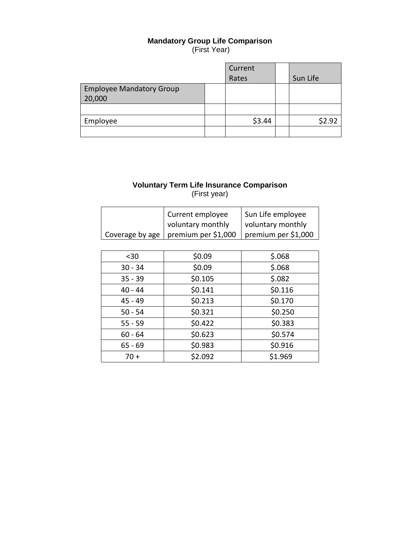## **Mandatory Group Life Comparison**

(First Year)

|                                 | Current |          |
|---------------------------------|---------|----------|
|                                 | Rates   | Sun Life |
| <b>Employee Mandatory Group</b> |         |          |
| 20,000                          |         |          |
|                                 |         |          |
| Employee                        | \$3.44  | \$2.92   |
|                                 |         |          |

# **Voluntary Term Life Insurance Comparison** (First year)

| Current employee                      | Sun Life employee   |
|---------------------------------------|---------------------|
| voluntary monthly                     | voluntary monthly   |
| Coverage by age   premium per \$1,000 | premium per \$1,000 |

| $30$      | \$0.09  | \$.068  |
|-----------|---------|---------|
| $30 - 34$ | \$0.09  | \$.068  |
| $35 - 39$ | \$0.105 | \$.082  |
| $40 - 44$ | \$0.141 | \$0.116 |
| 45 - 49   | \$0.213 | \$0.170 |
| $50 - 54$ | \$0.321 | \$0.250 |
| $55 - 59$ | \$0.422 | \$0.383 |
| $60 - 64$ | \$0.623 | \$0.574 |
| $65 - 69$ | \$0.983 | \$0.916 |
| $70 +$    | \$2.092 | \$1.969 |